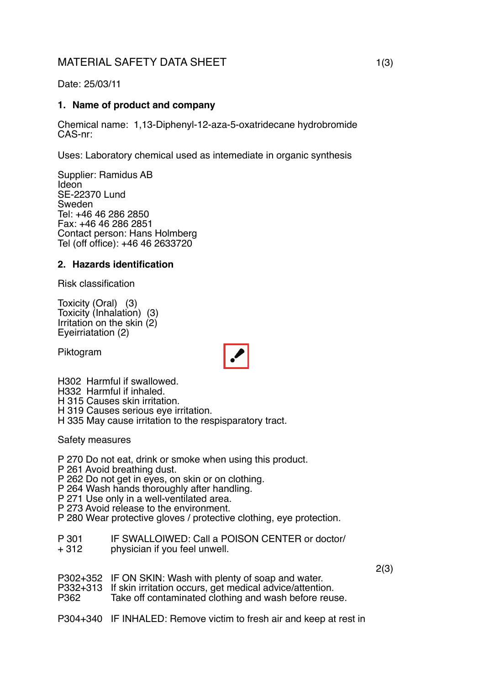# MATERIAL SAFETY DATA SHEET 1(3)

# Date: 25/03/11

# **1. Name of product and company**

Chemical name: 1,13-Diphenyl-12-aza-5-oxatridecane hydrobromide CAS-nr:

Uses: Laboratory chemical used as intemediate in organic synthesis

Supplier: Ramidus AB Ideon SE-22370 Lund Sweden Tel: +46 46 286 2850 Fax: +46 46 286 2851 Contact person: Hans Holmberg Tel (off office): +46 46 2633720

# **2. Hazards identification**

Risk classification

Toxicity (Oral) (3) Toxicity (Inhalation) (3) Irritation on the skin (2) Eyeirriatation (2)

Piktogram



H302 Harmful if swallowed.

H332 Harmful if inhaled.

H 315 Causes skin irritation.

H 319 Causes serious eye irritation.

H 335 May cause irritation to the respisparatory tract.

Safety measures

P 270 Do not eat, drink or smoke when using this product.

- P 261 Avoid breathing dust.
- P 262 Do not get in eyes, on skin or on clothing.

P 264 Wash hands thoroughly after handling.

- P 271 Use only in a well-ventilated area.
- P 273 Avoid release to the environment.

P 280 Wear protective gloves / protective clothing, eye protection.

- P 301 IF SWALLOIWED: Call a POISON CENTER or doctor/<br>+ 312 physician if you feel unwell
- physician if you feel unwell.
- P302+352 IF ON SKIN: Wash with plenty of soap and water.
- P332+313 If skin irritation occurs, get medical advice/attention.

Take off contaminated clothing and wash before reuse.

P304+340 IF INHALED: Remove victim to fresh air and keep at rest in

2(3)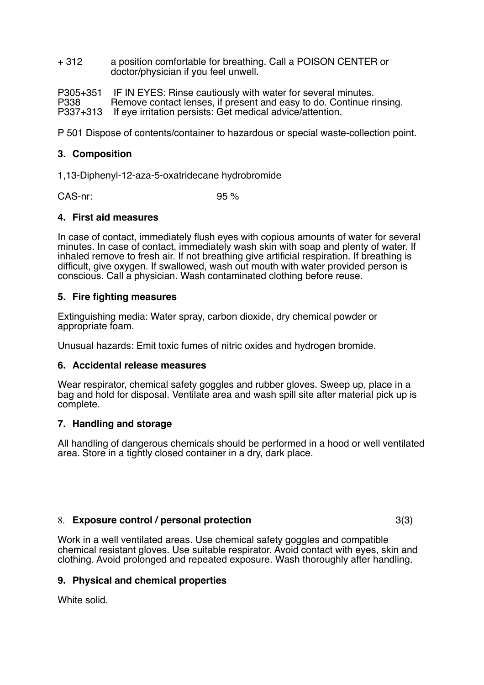+ 312 a position comfortable for breathing. Call a POISON CENTER or doctor/physician if you feel unwell.

P305+351 IF IN EYES: Rinse cautiously with water for several minutes.<br>P338 **BEC** Remove contact lenses, if present and easy to do. Continue r Remove contact lenses, if present and easy to do. Continue rinsing. P337+313 If eye irritation persists: Get medical advice/attention.

P 501 Dispose of contents/container to hazardous or special waste-collection point.

# **3. Composition**

1,13-Diphenyl-12-aza-5-oxatridecane hydrobromide

CAS-nr: 95 %

# **4. First aid measures**

In case of contact, immediately flush eyes with copious amounts of water for several minutes. In case of contact, immediately wash skin with soap and plenty of water. If inhaled remove to fresh air. If not breathing give artificial respiration. If breathing is difficult, give oxygen. If swallowed, wash out mouth with water provided person is conscious. Call a physician. Wash contaminated clothing before reuse.

# **5. Fire fighting measures**

Extinguishing media: Water spray, carbon dioxide, dry chemical powder or appropriate foam.

Unusual hazards: Emit toxic fumes of nitric oxides and hydrogen bromide.

#### **6. Accidental release measures**

Wear respirator, chemical safety goggles and rubber gloves. Sweep up, place in a bag and hold for disposal. Ventilate area and wash spill site after material pick up is complete.

#### **7. Handling and storage**

All handling of dangerous chemicals should be performed in a hood or well ventilated area. Store in a tightly closed container in a dry, dark place.

#### 8. **Exposure control / personal protection** 3(3)

Work in a well ventilated areas. Use chemical safety goggles and compatible chemical resistant gloves. Use suitable respirator. Avoid contact with eyes, skin and clothing. Avoid prolonged and repeated exposure. Wash thoroughly after handling.

# **9. Physical and chemical properties**

White solid.